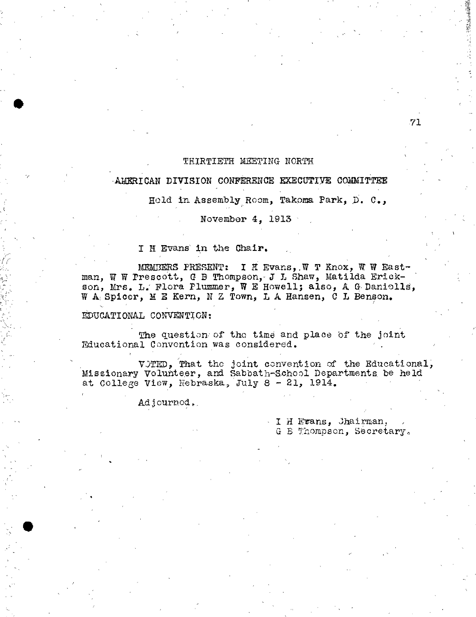## THIRTIETH MEETING NORTH

## AMERICAN DIVISION CONFERENCE EXECUTIVE COWITTEE

Held in Assembly Room, Takoma Park, D. C.,

## November 4, 1913

I H Evans' in the Chair.

MEMBERS PRESENT: I H Evans, W T Knox, W W Eastman, W W Prescott, G B Thompson, J L Shaw, Matilda Erickson, Mrs. L. Flora Plummer, W E Howell; also, A G Danielle, W A Spicer, M E Kern, N Z Town, L A Hansen, C L Benson.

## EDUCATIONAL CONVENTION:

The question of the time and place of the joint Educational Convention was considered.

WiTED, That the joint convention of the Educational; Missionary Volunteer, and Sabbath-School Departments be held at College View, Nebraska, July 8 - 21, 1914,

Adjourned,

I H Frans, Jhairman, G B Thompson, Secretary,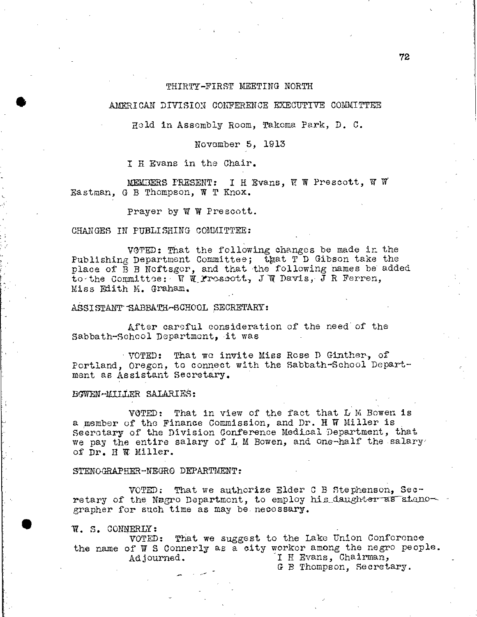### THIRTY-FIRST MEETING NORTH

### AMERICAN DIVISION CONFERENCE EXECUTIVE COMMITTEE

Hold in Assembly Room, Takoma Park, D. C.

## November 5, 1913

I H Evans in the Chair.

MEMBERS PRESENT: I H Evans, W W Prescott, W V Eastman, G B Thompson, W T Knox.

Prayer by W W Prescott.

#### CHANGES IN PUBLISHING COMMITTEE:

VOTED: That the following changes be made in the Publishing Department Committee; that T D Gibson take the place of B B Noftsgor, and that the following names be added to-the Committee: W W\_Proscott, J W Davis, J R Ferren, Miss Edith K. Graham.

ASSISTANT SABBATH-SCHOOL SECRETARY:

After careful consideration of the need of the Sabbath-School Department, it was

VOTED: That we invite Miss Rose D Ginther, of Portland, Oregon, to connect with the Sabbath-School Department as Assistant Secretary.

### BOWEN-MILLER SALARIES:

VOTED: That in view of the fact that L K Bowen is a member of the Finance Commission, and Dr. H W Miller is Secretary of the Division Conference Medical Department, that we pay the entire salary of L M Bowen, and one-half the salary of Dr. H W Miller.

#### STENOGRAPHER-NEGRO DEPARTMENT:

VOTED: That we authorize Elder C B Stephenson, Secretary of the Negro Department, to employ his\_daughteras stano-grapher for such time as may be. necessary.

W. S. CONNERLY:

•

VOTED: That we suggest to the Lake Union Conforonce the name of W S Connerly as a city worker among the negro people. Adjourned. I H Evans, Chairman,

G B Thompson, Secretary.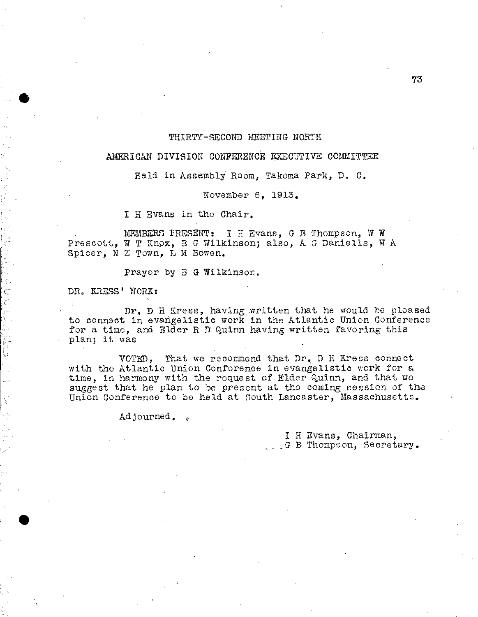## THIRTY-SECOND MEETING NORTH

## AMERICAN DIVISION CONFERENCE EXECUTIVE COMMITTEE

Held in Assembly Room, Takoma Park, D. C.

November 6, 1913.

I H Evans in the Chair.

MEMBERS PRESENT: I H Evans, G B Thompson, W W Prescott, W T Knox, B G Wilkinson; also, A G Daniells, W A Spicer, N Z Town, L M Bowen.

Prayer by B G Wilkinson.

DR. KRESS' WORK:

•

 $\bar{\epsilon}^2$ 

トレー しょうしん

Dr. D H Kress, having.written that he would he pleased to connect in evangelistic work in the Atlantic Union Conference for a time, and Elder R D Quinn having written favoring this plan; it was

VOTED, That we recommend that Dr. D H Kress connect with the Atlantic Union Conference in evangelistic work for a time, in harmony with the request of Elder Quinn, and that we suggest that he plan to be present at the coming session of the Union Conference to be held at South Lancaster, Massachusetts.

Adjourned. .

I H Evans, Chairman, \_G B Thompson, Secretary.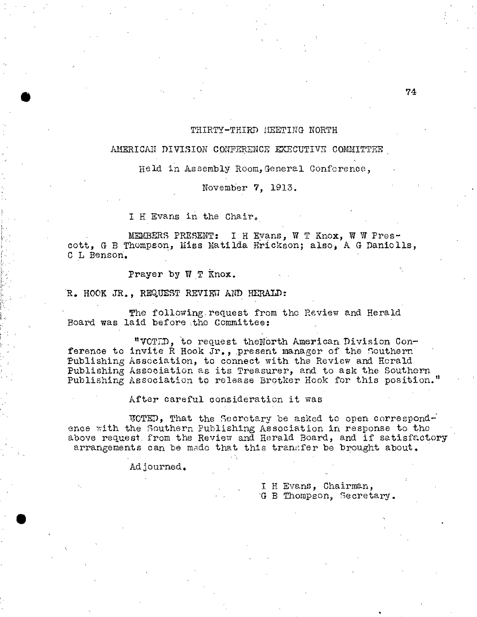### THIRTY-THIRD MEETING NORTH

## AMERICAN DIVISION CONFERENCE EXECUTIVE COMMITTEE,

Held in Assembly Room,General Conference,

November 7, 1913.

I H Evans in the Chair.

MEMBERS PRESENT: I H Evans, W T Knox, W W Prescott, G B Thompson, Miss Matilda Erickson; also, A G Daniolls, C L Benson.

Prayer by W T Knox.

R. HOOK JR., REQUEST REVIEW AND HERALD:

The following request from the Review and Herald Board was laid before the Committee:

"VDTLD, to request theNOrth American Division Conference to invite R Hook Jr., present manager of the Southern Publishing Association, to connect with the Review and Herald Publishing Association as its Treasurer, and to ask the Southern Publishing Association to release Brotker Hook for this position."

After careful consideration it was

ITOTED, That the Secretary be asked to open correspond-' ence with the Southern Publishing Association in response to the above request. from the Review and Herald Board, and if satisfactory arrangements can be made that this transfer be brought about.

Adjourned.

I H Evans, Chairman, G B Thompson, Secretary.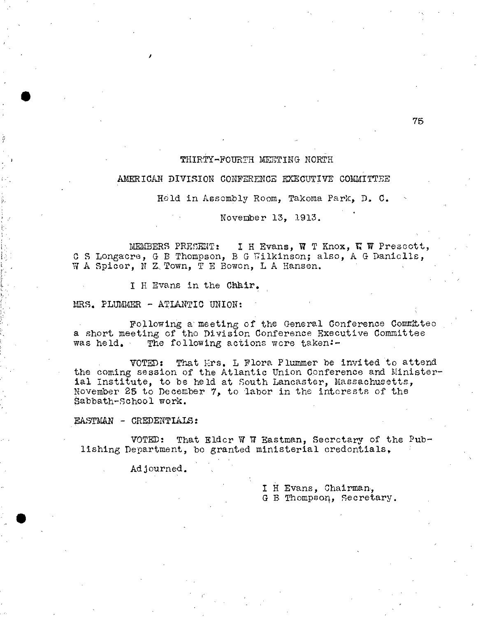# THIRTY-FOURTH MEETING NORTH

#### AMERICAN DIVISION CONFERENCE EXECUTIVE COMMITTEE

Held in Assembly Room, Takoma Park, D. C.

November 13, 1913.

MEMBERS PRESENT: I H Evans, W T Knox, T W Prescott, C S Longacre, G B Thompson, B G Wilkinson; also, A G Daniolls, W A Spicer, N Z, Town, T E Bowen, L A Hansen.

I H Evans in the Chair.

MRS. PLUMMER - ATLANTIC UNION:

Following a' meeting of the General Conference Comdttec a short meeting of the Division Conference Executive Committee was held. The following actions wore taken:-

VOTED: That Mrs. L Flora Plummer be invited to attend the coming session of the Atlantic Union Conference and Ministerial Institute, to be held at South Lancaster, Massachusetts., November 25 to December 7, to 'labor in the interests of the Sabbath-School work.

EASTMAN - CREDENTIALS:

•

VOTED: That Elder W W Eastman, Secrotary of the Publishing Department, be granted ministerial credentials,

Adjourned.

I H Evans, Chairman, G B Thompson, Secretary.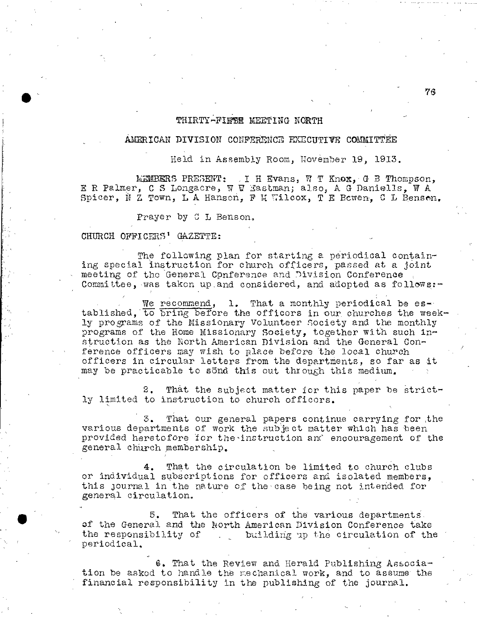## THIRTY-FIESE MEETING NORTH

## AMERICAN DIVISION CONFERENCE EXECUTIVE COMMITTEE

Held in Assembly Room, November 19, 1913.

MEMBERS PRESENT: .1 H Evans, W T KnoxyG B Thompson, E R Palmer, C S Longacre, W W Eastman; also, A G Daniells, W A Spicer,  $N$  Z Town, L A Hanson, F M Wilcox, T E Bcwen, C L Benson.

Prayer by C L Benson.

### CHURCH OFFICERS' GAZETTE:

The following plan for starting a periodical containing special instruction for church officers, passed at a joint meeting of the General Conference and Division Conference Committee, was taken up and considered, and adopted as follows: $-$ 

We recommend, 1. That a monthly periodical be established, to bring before the officers in our churches the weekly programs of the Missionary Volunteer Society and the monthly programs of the Home Missionary Society, together with such instruction as the North American Division and the General Conference officers may wish to place before the local church officers in circular letters from the departments, so far as it may be practicable to sond this out through this medium.

2. That the subject matter for this paper be strictly limited to instruction to church officers.

3. That our general papers continue carrying for the various departments of work the subject matter which has been provided heretofore for the instruction and encouragement of the general church membership.

4. That the circulation be limited to church clubs or individual subscriptions for officers and isolated members, this journal in the nature of the case being not intended for general circulation.

5. That the officers of the various departments of the General and the North American Division Conference take<br>the responsibility of building up the circulation of the the responsibility of the circulation of the periodical,

6. That the Review and Herald Publishing Association be asked to handle the mechanical work, and to assume the financial responsibility in the publishing of the journal.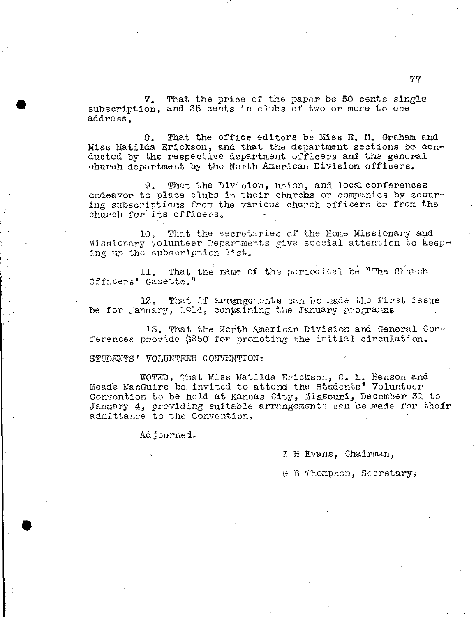7. That the price of the paper be 50 cents single subscription, and 35 cents in clubs of two or more to one address.

C. That the office editors be Miss E. N. Graham and Miss Matilda Erickson, and that the department sections be conducted by the respective department officers and the general church department by the North American Division officers.

9. That the Division, union, and local conferences endeavor to place clubs in their churcias or companies by securing subscriptions from the various church officers Or from the church for its officers.

10. That the 'secretaries of the Home Missionary and Missionary Volunteer Departments give special attention to keeping up the subscription list,

11. That the name of the periodical be "The Church Officers' Gazette."

12. That if arrangements can be made the first issue be for January, 1914, containing the January programms

13. That the North American Division and General Conferences provide \$250 for promoting the initial circulation.

STUDENTS' VOLUNTEER CONVENTION:

1201h,,), That Miss Matilda Erickson, C. L. Benson and Meade MacGuire be. invited to attend the Students' Volunteer Convention to be held at Kansas City, Missouri, December 31 to January  $4$ , providing suitable arrangements can be made for their admittance to the Convention.

Adjourned,

I H Evans, Chairman,

G B Thompson, Secretary.